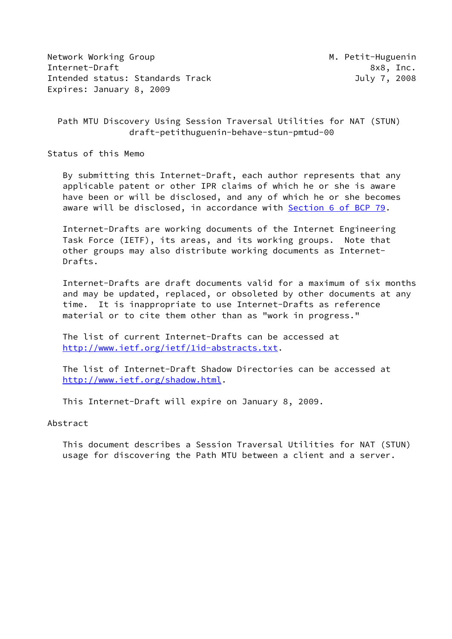Network Working Group Metwork Working Group Metwork Metal Internet-Draft 8x8, Inc. Intended status: Standards Track July 7, 2008 Expires: January 8, 2009

 Path MTU Discovery Using Session Traversal Utilities for NAT (STUN) draft-petithuguenin-behave-stun-pmtud-00

Status of this Memo

 By submitting this Internet-Draft, each author represents that any applicable patent or other IPR claims of which he or she is aware have been or will be disclosed, and any of which he or she becomes aware will be disclosed, in accordance with Section [6 of BCP 79.](https://datatracker.ietf.org/doc/pdf/bcp79#section-6)

 Internet-Drafts are working documents of the Internet Engineering Task Force (IETF), its areas, and its working groups. Note that other groups may also distribute working documents as Internet- Drafts.

 Internet-Drafts are draft documents valid for a maximum of six months and may be updated, replaced, or obsoleted by other documents at any time. It is inappropriate to use Internet-Drafts as reference material or to cite them other than as "work in progress."

 The list of current Internet-Drafts can be accessed at <http://www.ietf.org/ietf/1id-abstracts.txt>.

 The list of Internet-Draft Shadow Directories can be accessed at <http://www.ietf.org/shadow.html>.

This Internet-Draft will expire on January 8, 2009.

Abstract

 This document describes a Session Traversal Utilities for NAT (STUN) usage for discovering the Path MTU between a client and a server.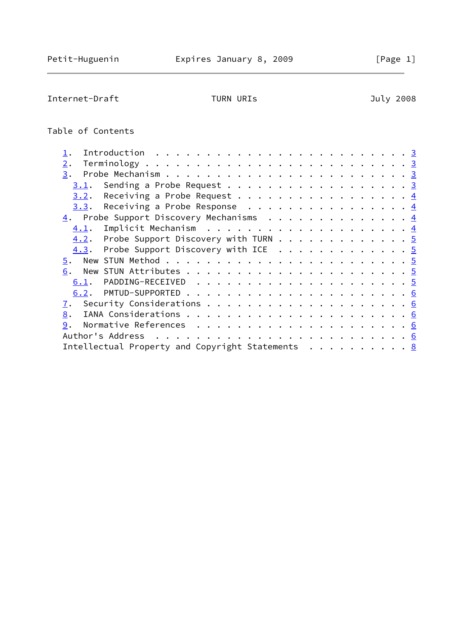Internet-Draft TURN URIs TURN URIS July 2008

# Table of Contents

| 2.                                               |                                         |  |  |  |  |  |  |  |  |  |  |  |
|--------------------------------------------------|-----------------------------------------|--|--|--|--|--|--|--|--|--|--|--|
| 3.                                               |                                         |  |  |  |  |  |  |  |  |  |  |  |
| 3.1.                                             | Sending a Probe Request 3               |  |  |  |  |  |  |  |  |  |  |  |
| 3.2.                                             | Receiving a Probe Request $\frac{4}{5}$ |  |  |  |  |  |  |  |  |  |  |  |
| 3.3. Receiving a Probe Response 4                |                                         |  |  |  |  |  |  |  |  |  |  |  |
| 4. Probe Support Discovery Mechanisms 4          |                                         |  |  |  |  |  |  |  |  |  |  |  |
|                                                  |                                         |  |  |  |  |  |  |  |  |  |  |  |
| $4.2$ . Probe Support Discovery with TURN 5      |                                         |  |  |  |  |  |  |  |  |  |  |  |
| 4.3. Probe Support Discovery with ICE 5          |                                         |  |  |  |  |  |  |  |  |  |  |  |
|                                                  |                                         |  |  |  |  |  |  |  |  |  |  |  |
| 6.                                               |                                         |  |  |  |  |  |  |  |  |  |  |  |
|                                                  |                                         |  |  |  |  |  |  |  |  |  |  |  |
|                                                  |                                         |  |  |  |  |  |  |  |  |  |  |  |
| 7.                                               |                                         |  |  |  |  |  |  |  |  |  |  |  |
| 8.                                               |                                         |  |  |  |  |  |  |  |  |  |  |  |
|                                                  |                                         |  |  |  |  |  |  |  |  |  |  |  |
| Author's Address                                 |                                         |  |  |  |  |  |  |  |  |  |  |  |
| Intellectual Property and Copyright Statements 8 |                                         |  |  |  |  |  |  |  |  |  |  |  |
|                                                  |                                         |  |  |  |  |  |  |  |  |  |  |  |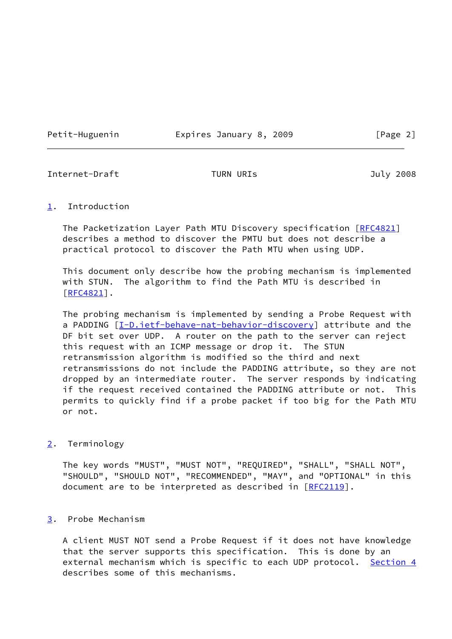Petit-Huguenin Expires January 8, 2009 [Page 2]

<span id="page-2-1"></span>Internet-Draft TURN URIs 7008

### <span id="page-2-0"></span>[1](#page-2-0). Introduction

The Packetization Layer Path MTU Discovery specification [\[RFC4821](https://datatracker.ietf.org/doc/pdf/rfc4821)] describes a method to discover the PMTU but does not describe a practical protocol to discover the Path MTU when using UDP.

 This document only describe how the probing mechanism is implemented with STUN. The algorithm to find the Path MTU is described in [\[RFC4821](https://datatracker.ietf.org/doc/pdf/rfc4821)].

 The probing mechanism is implemented by sending a Probe Request with a PADDING [[I-D.ietf-behave-nat-behavior-discovery](#page-6-1)] attribute and the DF bit set over UDP. A router on the path to the server can reject this request with an ICMP message or drop it. The STUN retransmission algorithm is modified so the third and next retransmissions do not include the PADDING attribute, so they are not dropped by an intermediate router. The server responds by indicating if the request received contained the PADDING attribute or not. This permits to quickly find if a probe packet if too big for the Path MTU or not.

# <span id="page-2-2"></span>[2](#page-2-2). Terminology

 The key words "MUST", "MUST NOT", "REQUIRED", "SHALL", "SHALL NOT", "SHOULD", "SHOULD NOT", "RECOMMENDED", "MAY", and "OPTIONAL" in this document are to be interpreted as described in [\[RFC2119](https://datatracker.ietf.org/doc/pdf/rfc2119)].

# <span id="page-2-3"></span>[3](#page-2-3). Probe Mechanism

 A client MUST NOT send a Probe Request if it does not have knowledge that the server supports this specification. This is done by an external mechanism which is specific to each UDP protocol. [Section 4](#page-4-0) describes some of this mechanisms.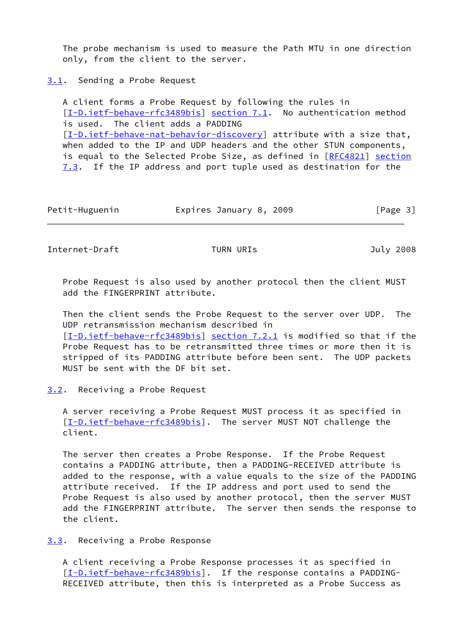The probe mechanism is used to measure the Path MTU in one direction only, from the client to the server.

<span id="page-3-0"></span>[3.1](#page-3-0). Sending a Probe Request

 A client forms a Probe Request by following the rules in [\[I-D.ietf-behave-rfc3489bis\]](#page-6-2) section 7.1. No authentication method is used. The client adds a PADDING [\[I-D.ietf-behave-nat-behavior-discovery](#page-6-1)] attribute with a size that, when added to the IP and UDP headers and the other STUN components, is equal to the Selected Probe Size, as defined in [[RFC4821\]](https://datatracker.ietf.org/doc/pdf/rfc4821) section 7.3. If the IP address and port tuple used as destination for the

Petit-Huguenin Expires January 8, 2009 [Page 3]

<span id="page-3-2"></span>Internet-Draft TURN URIs July 2008

 Probe Request is also used by another protocol then the client MUST add the FINGERPRINT attribute.

 Then the client sends the Probe Request to the server over UDP. The UDP retransmission mechanism described in [\[I-D.ietf-behave-rfc3489bis\]](#page-6-2) section 7.2.1 is modified so that if the Probe Request has to be retransmitted three times or more then it is stripped of its PADDING attribute before been sent. The UDP packets MUST be sent with the DF bit set.

# <span id="page-3-1"></span>[3.2](#page-3-1). Receiving a Probe Request

 A server receiving a Probe Request MUST process it as specified in [\[I-D.ietf-behave-rfc3489bis\]](#page-6-2). The server MUST NOT challenge the client.

 The server then creates a Probe Response. If the Probe Request contains a PADDING attribute, then a PADDING-RECEIVED attribute is added to the response, with a value equals to the size of the PADDING attribute received. If the IP address and port used to send the Probe Request is also used by another protocol, then the server MUST add the FINGERPRINT attribute. The server then sends the response to the client.

<span id="page-3-3"></span>[3.3](#page-3-3). Receiving a Probe Response

 A client receiving a Probe Response processes it as specified in [\[I-D.ietf-behave-rfc3489bis\]](#page-6-2). If the response contains a PADDING-RECEIVED attribute, then this is interpreted as a Probe Success as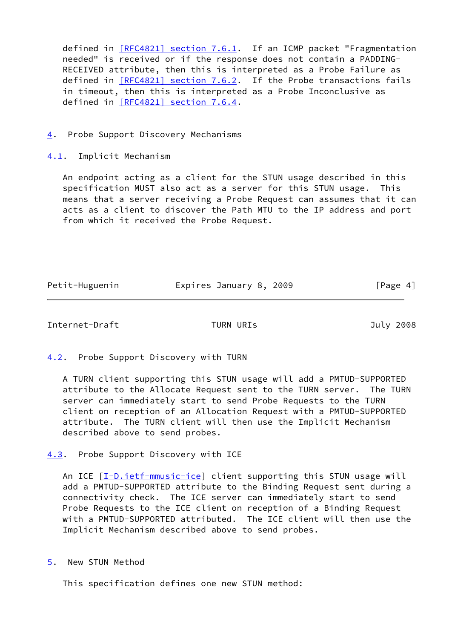defined in [\[RFC4821\] section](https://datatracker.ietf.org/doc/pdf/rfc4821#section-7.6.1) 7.6.1. If an ICMP packet "Fragmentation needed" is received or if the response does not contain a PADDING- RECEIVED attribute, then this is interpreted as a Probe Failure as defined in  $[RFC4821]$  section 7.6.2. If the Probe transactions fails in timeout, then this is interpreted as a Probe Inconclusive as defined in [\[RFC4821\] section](https://datatracker.ietf.org/doc/pdf/rfc4821#section-7.6.4) 7.6.4.

<span id="page-4-0"></span>[4](#page-4-0). Probe Support Discovery Mechanisms

<span id="page-4-1"></span>[4.1](#page-4-1). Implicit Mechanism

 An endpoint acting as a client for the STUN usage described in this specification MUST also act as a server for this STUN usage. This means that a server receiving a Probe Request can assumes that it can acts as a client to discover the Path MTU to the IP address and port from which it received the Probe Request.

| Petit-Huguenin | Expires January 8, 2009 | [Page 4] |
|----------------|-------------------------|----------|
|                |                         |          |

<span id="page-4-3"></span>Internet-Draft TURN URIs July 2008

<span id="page-4-2"></span>[4.2](#page-4-2). Probe Support Discovery with TURN

 A TURN client supporting this STUN usage will add a PMTUD-SUPPORTED attribute to the Allocate Request sent to the TURN server. The TURN server can immediately start to send Probe Requests to the TURN client on reception of an Allocation Request with a PMTUD-SUPPORTED attribute. The TURN client will then use the Implicit Mechanism described above to send probes.

<span id="page-4-4"></span>[4.3](#page-4-4). Probe Support Discovery with ICE

An ICE [\[I-D.ietf-mmusic-ice](#page-6-3)] client supporting this STUN usage will add a PMTUD-SUPPORTED attribute to the Binding Request sent during a connectivity check. The ICE server can immediately start to send Probe Requests to the ICE client on reception of a Binding Request with a PMTUD-SUPPORTED attributed. The ICE client will then use the Implicit Mechanism described above to send probes.

<span id="page-4-5"></span>[5](#page-4-5). New STUN Method

This specification defines one new STUN method: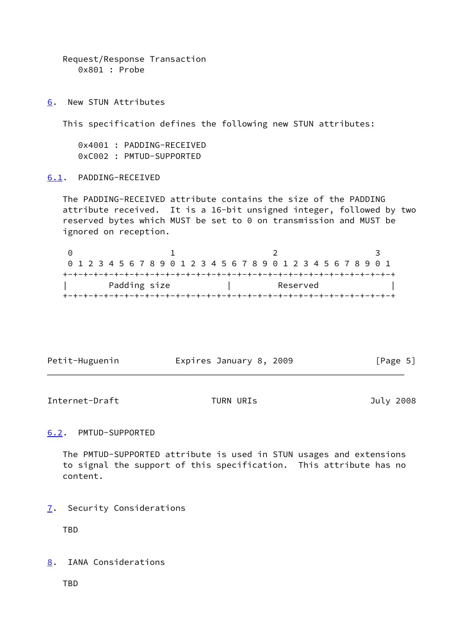```
 Request/Response Transaction
0x801 : Probe
```
<span id="page-5-0"></span>[6](#page-5-0). New STUN Attributes

This specification defines the following new STUN attributes:

 0x4001 : PADDING-RECEIVED 0xC002 : PMTUD-SUPPORTED

### <span id="page-5-1"></span>[6.1](#page-5-1). PADDING-RECEIVED

 The PADDING-RECEIVED attribute contains the size of the PADDING attribute received. It is a 16-bit unsigned integer, followed by two reserved bytes which MUST be set to 0 on transmission and MUST be ignored on reception.

0 1 2 3 0 1 2 3 4 5 6 7 8 9 0 1 2 3 4 5 6 7 8 9 0 1 2 3 4 5 6 7 8 9 0 1 +-+-+-+-+-+-+-+-+-+-+-+-+-+-+-+-+-+-+-+-+-+-+-+-+-+-+-+-+-+-+-+-+ Padding size | Reserved +-+-+-+-+-+-+-+-+-+-+-+-+-+-+-+-+-+-+-+-+-+-+-+-+-+-+-+-+-+-+-+-+

| Petit-Huguenin | Expires January 8, 2009 | [Page 5] |
|----------------|-------------------------|----------|
|                |                         |          |

<span id="page-5-3"></span>Internet-Draft TURN URIs 7008

### <span id="page-5-2"></span>[6.2](#page-5-2). PMTUD-SUPPORTED

 The PMTUD-SUPPORTED attribute is used in STUN usages and extensions to signal the support of this specification. This attribute has no content.

<span id="page-5-4"></span>[7](#page-5-4). Security Considerations

TBD

<span id="page-5-5"></span>[8](#page-5-5). IANA Considerations

TBD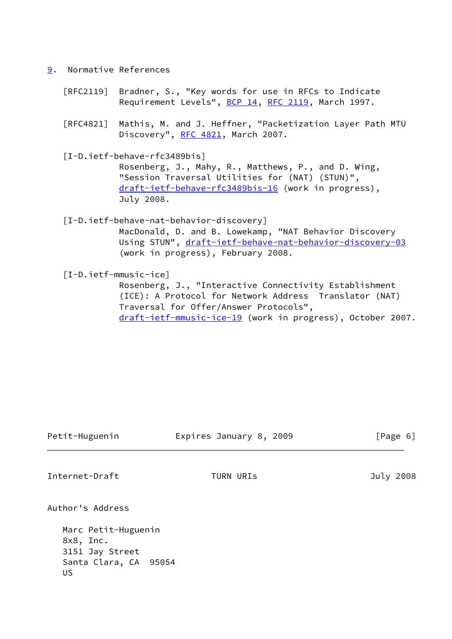- <span id="page-6-0"></span>[9](#page-6-0). Normative References
	- [RFC2119] Bradner, S., "Key words for use in RFCs to Indicate Requirement Levels", [BCP 14](https://datatracker.ietf.org/doc/pdf/bcp14), [RFC 2119](https://datatracker.ietf.org/doc/pdf/rfc2119), March 1997.
	- [RFC4821] Mathis, M. and J. Heffner, "Packetization Layer Path MTU Discovery", [RFC 4821,](https://datatracker.ietf.org/doc/pdf/rfc4821) March 2007.

<span id="page-6-2"></span> [I-D.ietf-behave-rfc3489bis] Rosenberg, J., Mahy, R., Matthews, P., and D. Wing,

 "Session Traversal Utilities for (NAT) (STUN)", [draft-ietf-behave-rfc3489bis-16](https://datatracker.ietf.org/doc/pdf/draft-ietf-behave-rfc3489bis-16) (work in progress), July 2008.

<span id="page-6-1"></span>[I-D.ietf-behave-nat-behavior-discovery]

 MacDonald, D. and B. Lowekamp, "NAT Behavior Discovery Using STUN", [draft-ietf-behave-nat-behavior-discovery-03](https://datatracker.ietf.org/doc/pdf/draft-ietf-behave-nat-behavior-discovery-03) (work in progress), February 2008.

<span id="page-6-3"></span>[I-D.ietf-mmusic-ice]

 Rosenberg, J., "Interactive Connectivity Establishment (ICE): A Protocol for Network Address Translator (NAT) Traversal for Offer/Answer Protocols", [draft-ietf-mmusic-ice-19](https://datatracker.ietf.org/doc/pdf/draft-ietf-mmusic-ice-19) (work in progress), October 2007.

| Petit-Huguenin | Expires January 8, 2009 | [Page 6] |  |
|----------------|-------------------------|----------|--|
|                |                         |          |  |

Internet-Draft TURN URIs July 2008

Author's Address

 Marc Petit-Huguenin 8x8, Inc. 3151 Jay Street Santa Clara, CA 95054 US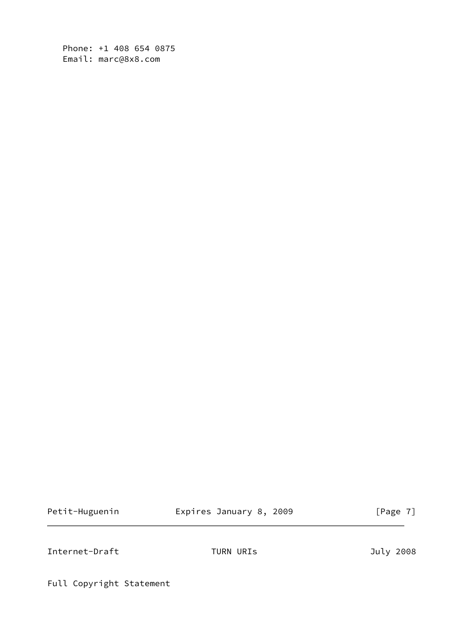Phone: +1 408 654 0875 Email: marc@8x8.com

Petit-Huguenin **Expires January 8, 2009** [Page 7]

<span id="page-7-0"></span>Internet-Draft TURN URIs TURN URIS July 2008

Full Copyright Statement